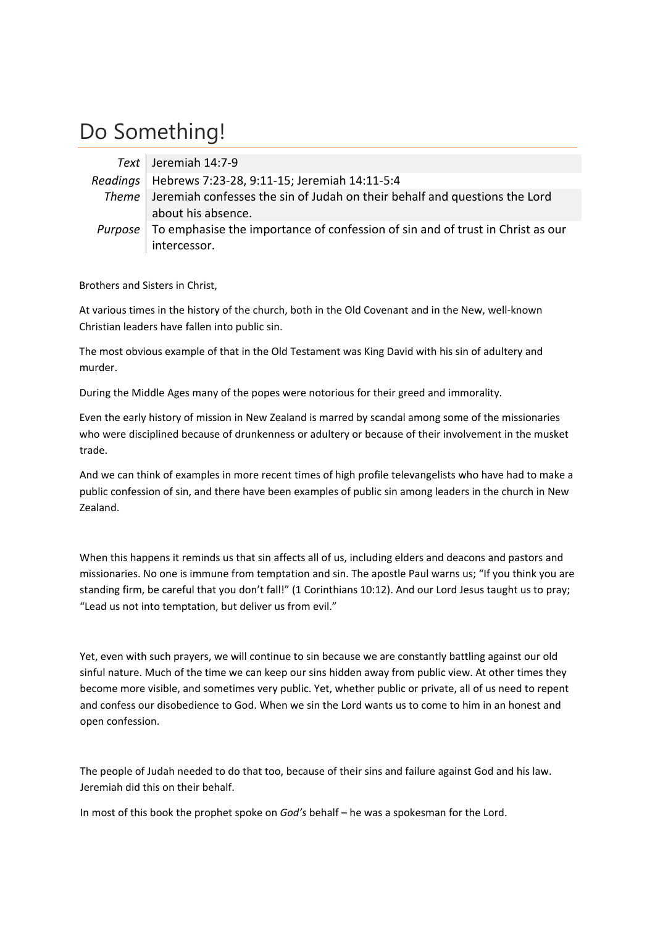## Do Something!

| Text   Jeremiah 14:7-9                                                                   |
|------------------------------------------------------------------------------------------|
| Readings   Hebrews 7:23-28, 9:11-15; Jeremiah 14:11-5:4                                  |
| Theme   Jeremiah confesses the sin of Judah on their behalf and questions the Lord       |
| about his absence.                                                                       |
| Purpose   To emphasise the importance of confession of sin and of trust in Christ as our |
| intercessor.                                                                             |

Brothers and Sisters in Christ,

At various times in the history of the church, both in the Old Covenant and in the New, well‐known Christian leaders have fallen into public sin.

The most obvious example of that in the Old Testament was King David with his sin of adultery and murder.

During the Middle Ages many of the popes were notorious for their greed and immorality.

Even the early history of mission in New Zealand is marred by scandal among some of the missionaries who were disciplined because of drunkenness or adultery or because of their involvement in the musket trade.

And we can think of examples in more recent times of high profile televangelists who have had to make a public confession of sin, and there have been examples of public sin among leaders in the church in New Zealand.

When this happens it reminds us that sin affects all of us, including elders and deacons and pastors and missionaries. No one is immune from temptation and sin. The apostle Paul warns us; "If you think you are standing firm, be careful that you don't fall!" (1 Corinthians 10:12). And our Lord Jesus taught us to pray; "Lead us not into temptation, but deliver us from evil."

Yet, even with such prayers, we will continue to sin because we are constantly battling against our old sinful nature. Much of the time we can keep our sins hidden away from public view. At other times they become more visible, and sometimes very public. Yet, whether public or private, all of us need to repent and confess our disobedience to God. When we sin the Lord wants us to come to him in an honest and open confession.

The people of Judah needed to do that too, because of their sins and failure against God and his law. Jeremiah did this on their behalf.

In most of this book the prophet spoke on *God's* behalf – he was a spokesman for the Lord.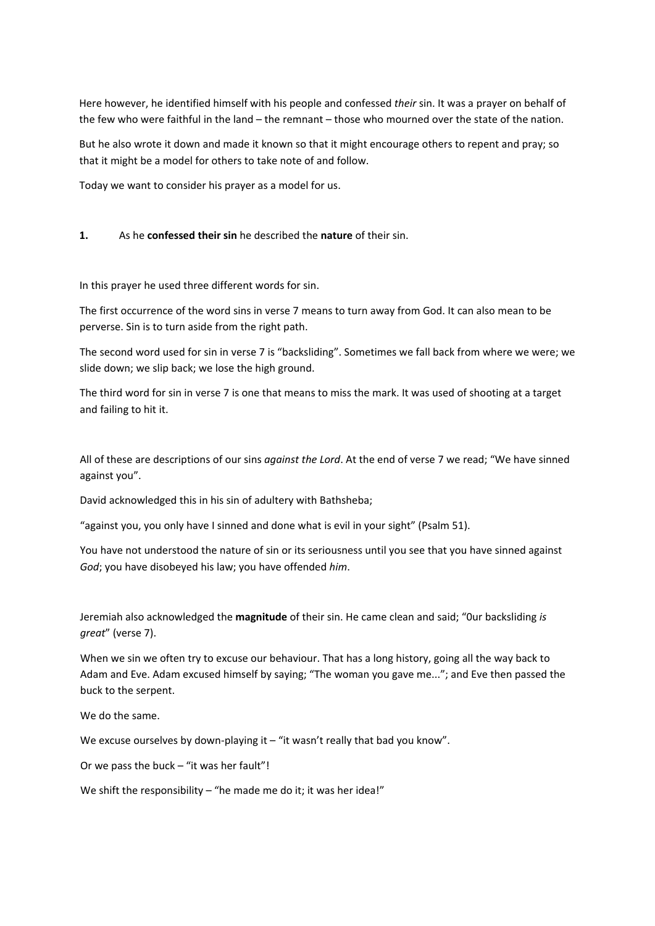Here however, he identified himself with his people and confessed *their* sin. It was a prayer on behalf of the few who were faithful in the land – the remnant – those who mourned over the state of the nation.

But he also wrote it down and made it known so that it might encourage others to repent and pray; so that it might be a model for others to take note of and follow.

Today we want to consider his prayer as a model for us.

## **1.**  As he **confessed their sin** he described the **nature** of their sin.

In this prayer he used three different words for sin.

The first occurrence of the word sins in verse 7 means to turn away from God. It can also mean to be perverse. Sin is to turn aside from the right path.

The second word used for sin in verse 7 is "backsliding". Sometimes we fall back from where we were; we slide down; we slip back; we lose the high ground.

The third word for sin in verse 7 is one that means to miss the mark. It was used of shooting at a target and failing to hit it.

All of these are descriptions of our sins *against the Lord*. At the end of verse 7 we read; "We have sinned against you".

David acknowledged this in his sin of adultery with Bathsheba;

"against you, you only have I sinned and done what is evil in your sight" (Psalm 51).

You have not understood the nature of sin or its seriousness until you see that you have sinned against *God*; you have disobeyed his law; you have offended *him*.

Jeremiah also acknowledged the **magnitude** of their sin. He came clean and said; "0ur backsliding *is great*" (verse 7).

When we sin we often try to excuse our behaviour. That has a long history, going all the way back to Adam and Eve. Adam excused himself by saying; "The woman you gave me..."; and Eve then passed the buck to the serpent.

We do the same.

We excuse ourselves by down-playing it – "it wasn't really that bad you know".

Or we pass the buck  $-$  "it was her fault"!

We shift the responsibility – "he made me do it; it was her idea!"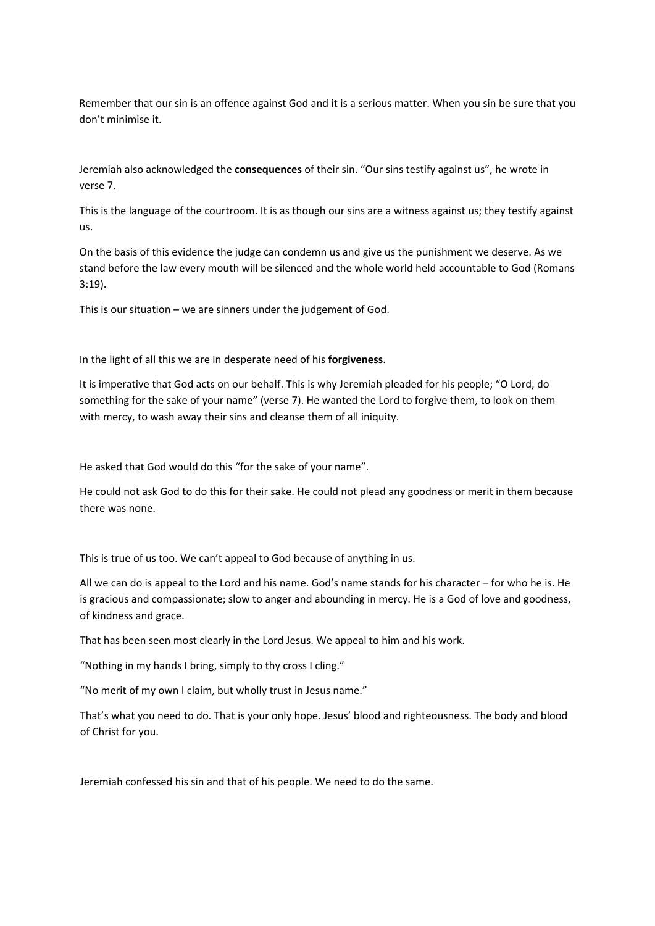Remember that our sin is an offence against God and it is a serious matter. When you sin be sure that you don't minimise it.

Jeremiah also acknowledged the **consequences** of their sin. "Our sins testify against us", he wrote in verse 7.

This is the language of the courtroom. It is as though our sins are a witness against us; they testify against us.

On the basis of this evidence the judge can condemn us and give us the punishment we deserve. As we stand before the law every mouth will be silenced and the whole world held accountable to God (Romans 3:19).

This is our situation – we are sinners under the judgement of God.

In the light of all this we are in desperate need of his **forgiveness**.

It is imperative that God acts on our behalf. This is why Jeremiah pleaded for his people; "O Lord, do something for the sake of your name" (verse 7). He wanted the Lord to forgive them, to look on them with mercy, to wash away their sins and cleanse them of all iniquity.

He asked that God would do this "for the sake of your name".

He could not ask God to do this for their sake. He could not plead any goodness or merit in them because there was none.

This is true of us too. We can't appeal to God because of anything in us.

All we can do is appeal to the Lord and his name. God's name stands for his character – for who he is. He is gracious and compassionate; slow to anger and abounding in mercy. He is a God of love and goodness, of kindness and grace.

That has been seen most clearly in the Lord Jesus. We appeal to him and his work.

"Nothing in my hands I bring, simply to thy cross I cling."

"No merit of my own I claim, but wholly trust in Jesus name."

That's what you need to do. That is your only hope. Jesus' blood and righteousness. The body and blood of Christ for you.

Jeremiah confessed his sin and that of his people. We need to do the same.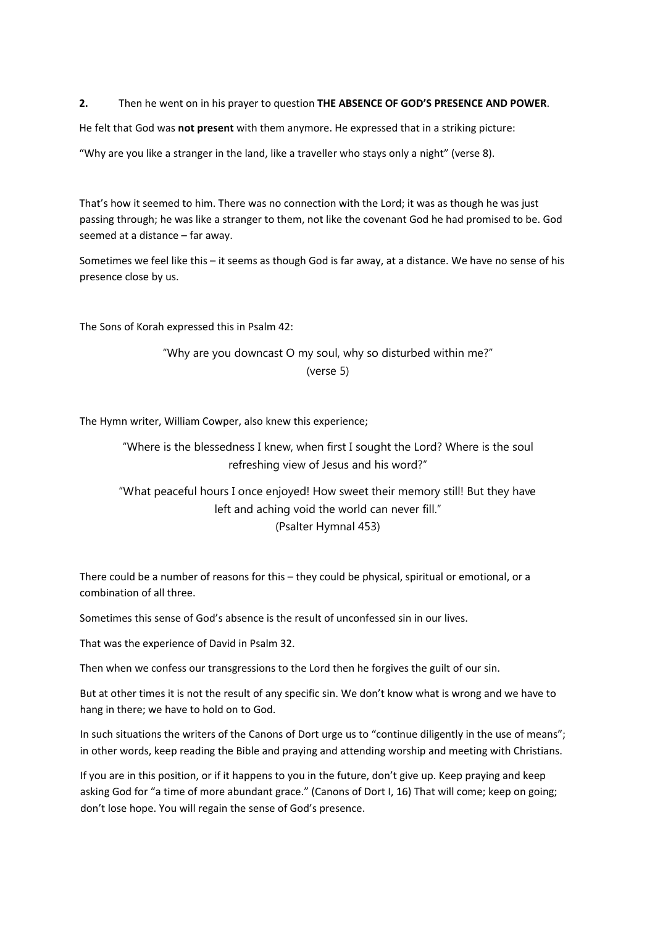**2.** Then he went on in his prayer to question **THE ABSENCE OF GOD'S PRESENCE AND POWER**.

He felt that God was **not present** with them anymore. He expressed that in a striking picture:

"Why are you like a stranger in the land, like a traveller who stays only a night" (verse 8).

That's how it seemed to him. There was no connection with the Lord; it was as though he was just passing through; he was like a stranger to them, not like the covenant God he had promised to be. God seemed at a distance – far away.

Sometimes we feel like this – it seems as though God is far away, at a distance. We have no sense of his presence close by us.

The Sons of Korah expressed this in Psalm 42:

"Why are you downcast O my soul, why so disturbed within me?" (verse 5)

The Hymn writer, William Cowper, also knew this experience;

"Where is the blessedness I knew, when first I sought the Lord? Where is the soul refreshing view of Jesus and his word?"

"What peaceful hours I once enjoyed! How sweet their memory still! But they have left and aching void the world can never fill."

(Psalter Hymnal 453)

There could be a number of reasons for this – they could be physical, spiritual or emotional, or a combination of all three.

Sometimes this sense of God's absence is the result of unconfessed sin in our lives.

That was the experience of David in Psalm 32.

Then when we confess our transgressions to the Lord then he forgives the guilt of our sin.

But at other times it is not the result of any specific sin. We don't know what is wrong and we have to hang in there; we have to hold on to God.

In such situations the writers of the Canons of Dort urge us to "continue diligently in the use of means"; in other words, keep reading the Bible and praying and attending worship and meeting with Christians.

If you are in this position, or if it happens to you in the future, don't give up. Keep praying and keep asking God for "a time of more abundant grace." (Canons of Dort I, 16) That will come; keep on going; don't lose hope. You will regain the sense of God's presence.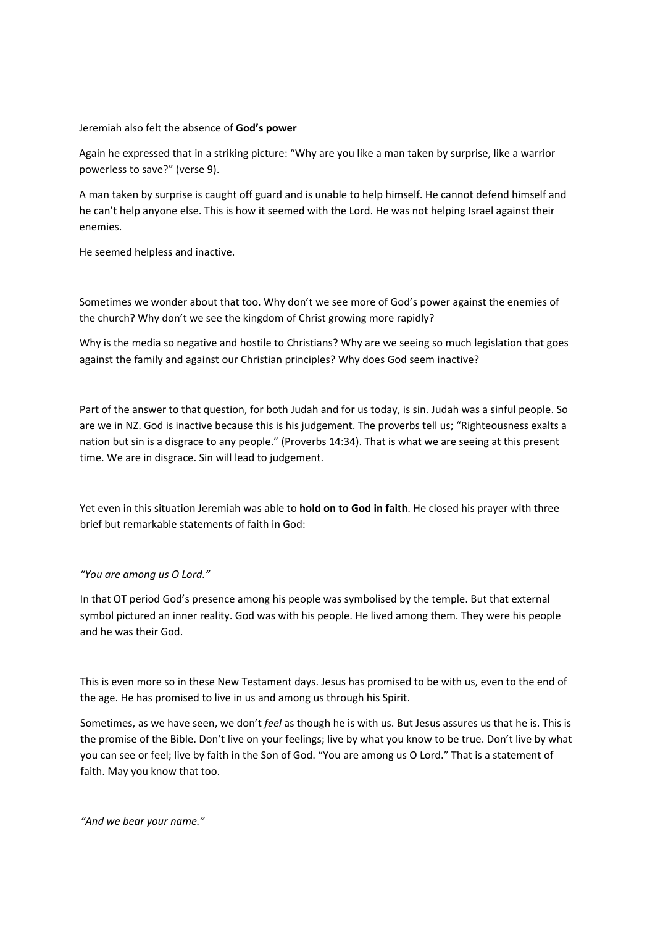## Jeremiah also felt the absence of **God's power**

Again he expressed that in a striking picture: "Why are you like a man taken by surprise, like a warrior powerless to save?" (verse 9).

A man taken by surprise is caught off guard and is unable to help himself. He cannot defend himself and he can't help anyone else. This is how it seemed with the Lord. He was not helping Israel against their enemies.

He seemed helpless and inactive.

Sometimes we wonder about that too. Why don't we see more of God's power against the enemies of the church? Why don't we see the kingdom of Christ growing more rapidly?

Why is the media so negative and hostile to Christians? Why are we seeing so much legislation that goes against the family and against our Christian principles? Why does God seem inactive?

Part of the answer to that question, for both Judah and for us today, is sin. Judah was a sinful people. So are we in NZ. God is inactive because this is his judgement. The proverbs tell us; "Righteousness exalts a nation but sin is a disgrace to any people." (Proverbs 14:34). That is what we are seeing at this present time. We are in disgrace. Sin will lead to judgement.

Yet even in this situation Jeremiah was able to **hold on to God in faith**. He closed his prayer with three brief but remarkable statements of faith in God:

## *"You are among us O Lord."*

In that OT period God's presence among his people was symbolised by the temple. But that external symbol pictured an inner reality. God was with his people. He lived among them. They were his people and he was their God.

This is even more so in these New Testament days. Jesus has promised to be with us, even to the end of the age. He has promised to live in us and among us through his Spirit.

Sometimes, as we have seen, we don't *feel* as though he is with us. But Jesus assures us that he is. This is the promise of the Bible. Don't live on your feelings; live by what you know to be true. Don't live by what you can see or feel; live by faith in the Son of God. "You are among us O Lord." That is a statement of faith. May you know that too.

*"And we bear your name."*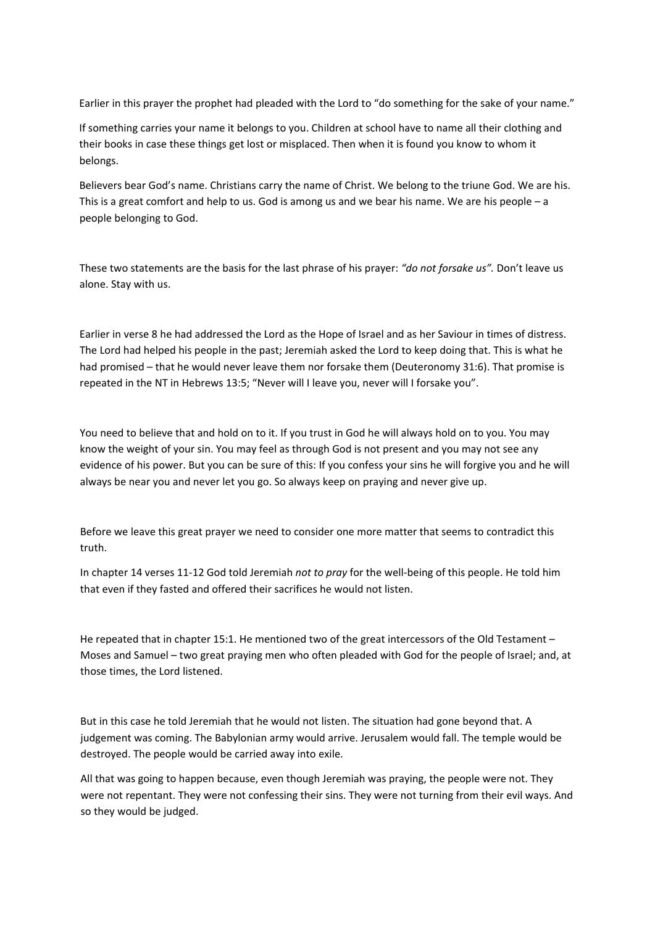Earlier in this prayer the prophet had pleaded with the Lord to "do something for the sake of your name."

If something carries your name it belongs to you. Children at school have to name all their clothing and their books in case these things get lost or misplaced. Then when it is found you know to whom it belongs.

Believers bear God's name. Christians carry the name of Christ. We belong to the triune God. We are his. This is a great comfort and help to us. God is among us and we bear his name. We are his people – a people belonging to God.

These two statements are the basis for the last phrase of his prayer: *"do not forsake us".* Don't leave us alone. Stay with us.

Earlier in verse 8 he had addressed the Lord as the Hope of Israel and as her Saviour in times of distress. The Lord had helped his people in the past; Jeremiah asked the Lord to keep doing that. This is what he had promised – that he would never leave them nor forsake them (Deuteronomy 31:6). That promise is repeated in the NT in Hebrews 13:5; "Never will I leave you, never will I forsake you".

You need to believe that and hold on to it. If you trust in God he will always hold on to you. You may know the weight of your sin. You may feel as through God is not present and you may not see any evidence of his power. But you can be sure of this: If you confess your sins he will forgive you and he will always be near you and never let you go. So always keep on praying and never give up.

Before we leave this great prayer we need to consider one more matter that seems to contradict this truth.

In chapter 14 verses 11‐12 God told Jeremiah *not to pray* for the well‐being of this people. He told him that even if they fasted and offered their sacrifices he would not listen.

He repeated that in chapter 15:1. He mentioned two of the great intercessors of the Old Testament – Moses and Samuel – two great praying men who often pleaded with God for the people of Israel; and, at those times, the Lord listened.

But in this case he told Jeremiah that he would not listen. The situation had gone beyond that. A judgement was coming. The Babylonian army would arrive. Jerusalem would fall. The temple would be destroyed. The people would be carried away into exile.

All that was going to happen because, even though Jeremiah was praying, the people were not. They were not repentant. They were not confessing their sins. They were not turning from their evil ways. And so they would be judged.